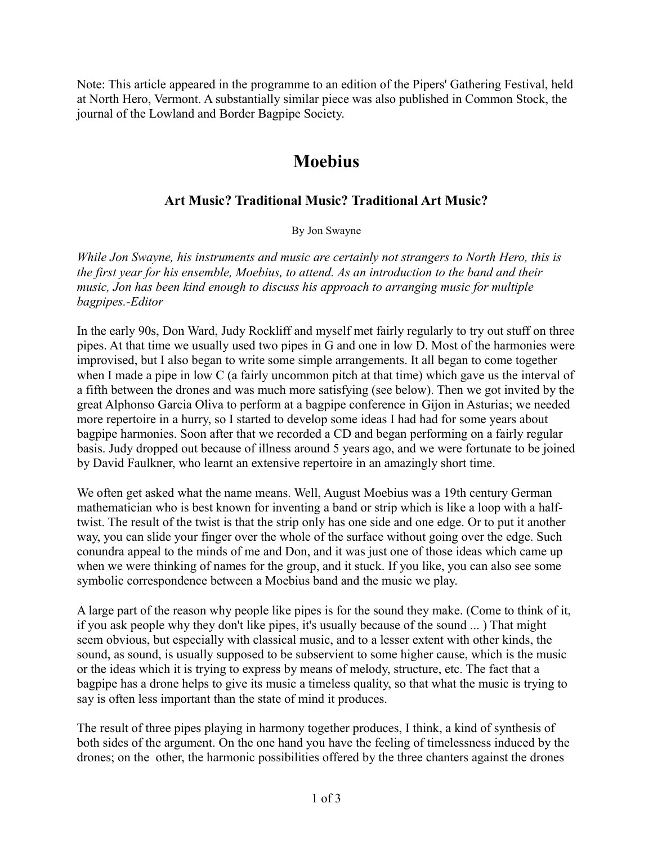Note: This article appeared in the programme to an edition of the Pipers' Gathering Festival, held at North Hero, Vermont. A substantially similar piece was also published in Common Stock, the journal of the Lowland and Border Bagpipe Society.

## **Moebius**

## **Art Music? Traditional Music? Traditional Art Music?**

By Jon Swayne

*While Jon Swayne, his instruments and music are certainly not strangers to North Hero, this is the first year for his ensemble, Moebius, to attend. As an introduction to the band and their music, Jon has been kind enough to discuss his approach to arranging music for multiple bagpipes.-Editor*

In the early 90s, Don Ward, Judy Rockliff and myself met fairly regularly to try out stuff on three pipes. At that time we usually used two pipes in G and one in low D. Most of the harmonies were improvised, but I also began to write some simple arrangements. It all began to come together when I made a pipe in low C (a fairly uncommon pitch at that time) which gave us the interval of a fifth between the drones and was much more satisfying (see below). Then we got invited by the great Alphonso Garcia Oliva to perform at a bagpipe conference in Gijon in Asturias; we needed more repertoire in a hurry, so I started to develop some ideas I had had for some years about bagpipe harmonies. Soon after that we recorded a CD and began performing on a fairly regular basis. Judy dropped out because of illness around 5 years ago, and we were fortunate to be joined by David Faulkner, who learnt an extensive repertoire in an amazingly short time.

We often get asked what the name means. Well, August Moebius was a 19th century German mathematician who is best known for inventing a band or strip which is like a loop with a halftwist. The result of the twist is that the strip only has one side and one edge. Or to put it another way, you can slide your finger over the whole of the surface without going over the edge. Such conundra appeal to the minds of me and Don, and it was just one of those ideas which came up when we were thinking of names for the group, and it stuck. If you like, you can also see some symbolic correspondence between a Moebius band and the music we play.

A large part of the reason why people like pipes is for the sound they make. (Come to think of it, if you ask people why they don't like pipes, it's usually because of the sound ... ) That might seem obvious, but especially with classical music, and to a lesser extent with other kinds, the sound, as sound, is usually supposed to be subservient to some higher cause, which is the music or the ideas which it is trying to express by means of melody, structure, etc. The fact that a bagpipe has a drone helps to give its music a timeless quality, so that what the music is trying to say is often less important than the state of mind it produces.

The result of three pipes playing in harmony together produces, I think, a kind of synthesis of both sides of the argument. On the one hand you have the feeling of timelessness induced by the drones; on the other, the harmonic possibilities offered by the three chanters against the drones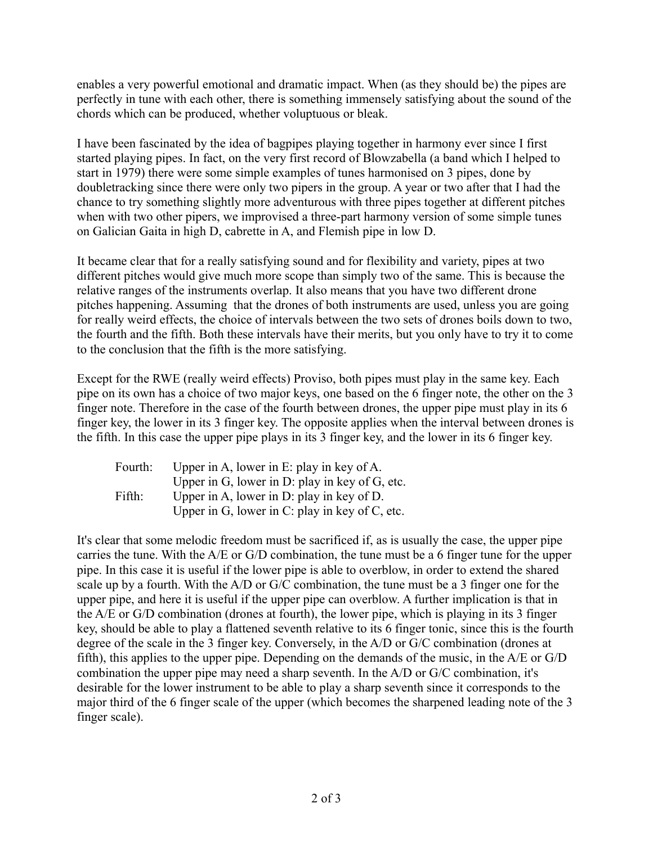enables a very powerful emotional and dramatic impact. When (as they should be) the pipes are perfectly in tune with each other, there is something immensely satisfying about the sound of the chords which can be produced, whether voluptuous or bleak.

I have been fascinated by the idea of bagpipes playing together in harmony ever since I first started playing pipes. In fact, on the very first record of Blowzabella (a band which I helped to start in 1979) there were some simple examples of tunes harmonised on 3 pipes, done by doubletracking since there were only two pipers in the group. A year or two after that I had the chance to try something slightly more adventurous with three pipes together at different pitches when with two other pipers, we improvised a three-part harmony version of some simple tunes on Galician Gaita in high D, cabrette in A, and Flemish pipe in low D.

It became clear that for a really satisfying sound and for flexibility and variety, pipes at two different pitches would give much more scope than simply two of the same. This is because the relative ranges of the instruments overlap. It also means that you have two different drone pitches happening. Assuming that the drones of both instruments are used, unless you are going for really weird effects, the choice of intervals between the two sets of drones boils down to two, the fourth and the fifth. Both these intervals have their merits, but you only have to try it to come to the conclusion that the fifth is the more satisfying.

Except for the RWE (really weird effects) Proviso, both pipes must play in the same key. Each pipe on its own has a choice of two major keys, one based on the 6 finger note, the other on the 3 finger note. Therefore in the case of the fourth between drones, the upper pipe must play in its 6 finger key, the lower in its 3 finger key. The opposite applies when the interval between drones is the fifth. In this case the upper pipe plays in its 3 finger key, and the lower in its 6 finger key.

| Fourth: | Upper in A, lower in E: play in key of A.      |
|---------|------------------------------------------------|
|         | Upper in G, lower in D: play in key of G, etc. |
| Fifth:  | Upper in A, lower in D: play in key of D.      |
|         | Upper in G, lower in C: play in key of C, etc. |

It's clear that some melodic freedom must be sacrificed if, as is usually the case, the upper pipe carries the tune. With the A/E or G/D combination, the tune must be a 6 finger tune for the upper pipe. In this case it is useful if the lower pipe is able to overblow, in order to extend the shared scale up by a fourth. With the A/D or G/C combination, the tune must be a 3 finger one for the upper pipe, and here it is useful if the upper pipe can overblow. A further implication is that in the A/E or G/D combination (drones at fourth), the lower pipe, which is playing in its 3 finger key, should be able to play a flattened seventh relative to its 6 finger tonic, since this is the fourth degree of the scale in the 3 finger key. Conversely, in the A/D or G/C combination (drones at fifth), this applies to the upper pipe. Depending on the demands of the music, in the A/E or G/D combination the upper pipe may need a sharp seventh. In the A/D or G/C combination, it's desirable for the lower instrument to be able to play a sharp seventh since it corresponds to the major third of the 6 finger scale of the upper (which becomes the sharpened leading note of the 3 finger scale).